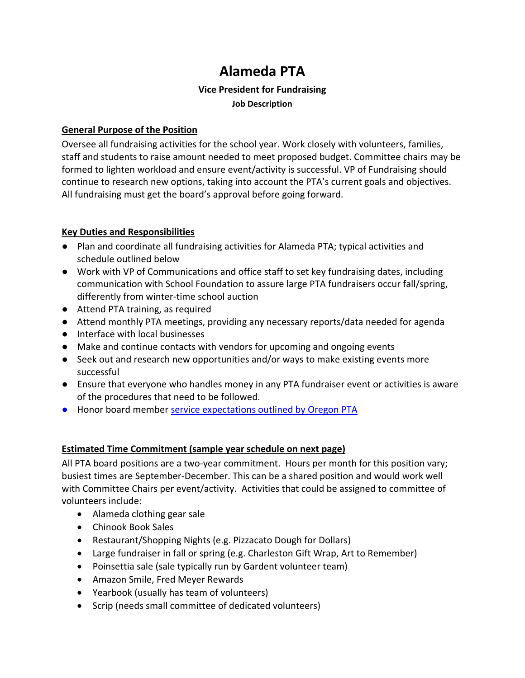# **Alameda PTA**

## **Vice President for Fundraising Job Description**

### **General Purpose of the Position**

Oversee all fundraising activities for the school year. Work closely with volunteers, families, staff and students to raise amount needed to meet proposed budget. Committee chairs may be formed to lighten workload and ensure event/activity is successful. VP of Fundraising should continue to research new options, taking into account the PTA's current goals and objectives. All fundraising must get the board's approval before going forward.

#### **Key Duties and Responsibilities**

- Plan and coordinate all fundraising activities for Alameda PTA; typical activities and schedule outlined below
- Work with VP of Communications and office staff to set key fundraising dates, including communication with School Foundation to assure large PTA fundraisers occur fall/spring, differently from winter-time school auction
- Attend PTA training, as required
- Attend monthly PTA meetings, providing any necessary reports/data needed for agenda
- Interface with local businesses
- Make and continue contacts with vendors for upcoming and ongoing events
- Seek out and research new opportunities and/or ways to make existing events more successful
- Ensure that everyone who handles money in any PTA fundraiser event or activities is aware of the procedures that need to be followed.
- Honor board member [service expectations outlined by Oregon PTA](https://www.oregonpta.org/assets/pages/files/Full_Officers_Manual_2017.pdf)

### **Estimated Time Commitment (sample year schedule on next page)**

All PTA board positions are a two-year commitment. Hours per month for this position vary; busiest times are September-December. This can be a shared position and would work well with Committee Chairs per event/activity. Activities that could be assigned to committee of volunteers include:

- Alameda clothing gear sale
- Chinook Book Sales
- Restaurant/Shopping Nights (e.g. Pizzacato Dough for Dollars)
- Large fundraiser in fall or spring (e.g. Charleston Gift Wrap, Art to Remember)
- Poinsettia sale (sale typically run by Gardent volunteer team)
- Amazon Smile, Fred Meyer Rewards
- Yearbook (usually has team of volunteers)
- Scrip (needs small committee of dedicated volunteers)